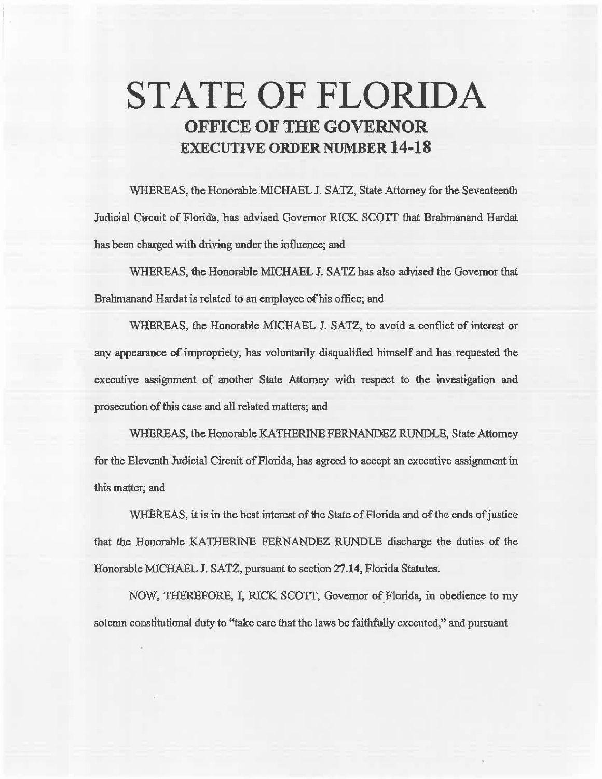# **STATE OF FLORIDA OFFICE OF THE GOVERNOR EXECUTIVE ORDER NUMBER 14-18**

WHEREAS, the Honorable MICHAEL J. SATZ, State Attorney for the Seventeenth Judicial Circuit of Florida, has advised Governor RICK SCOTT that Brahrnanand Hardat has been charged with driving under the influence; and

WHEREAS, the Honorable MICHAEL J. SATZ has also advised the Governor that Brahmanand Hardat is related to an employee of his office; and

WHEREAS, the Honorable MICHAEL J. SATZ, to avoid a conflict of interest or any appearance of impropriety, has voluntarily disqualified himself and has requested the executive assignment of another State Attorney with respect to the investigation and prosecution of this case and all related matters; and

WHEREAS, the Honorable KATHERINE FERNANDEZ RUNDLE, State Attorney for the Eleventh Judicial Circuit of Florida, has agreed to accept an executive assignment in this matter; and

WHEREAS, it is in the best interest of the State of Florida and of the ends of justice that the Honorable KATHERINE FERNANDEZ RUNDLE discharge the duties of the Honorable MICHAEL J. SATZ, pursuant to section 27 .14, Florida Statutes.

NOW, THEREFORE, I, RICK SCOTT, Governor of Florida, in obedience to my solemn constitutional duty to "take care that the laws be faithfully executed," and pursuant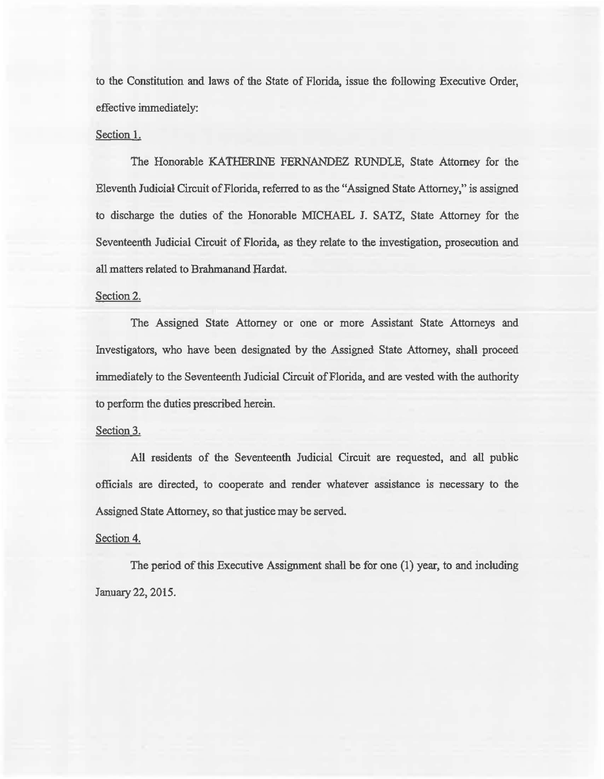to the Constitution and laws of the State of Florida, issue the following Executive Order, effective immediately:

## Section 1.

The Honorable KATHERINE FERNANDEZ RUNDLE, State Attorney for the Eleventh Judicial Circuit of Florida, referred to as the "Assigned State Attorney," is assigned to discharge the duties of the Honorable MICHAEL J. SATZ, State Attorney for the Seventeenth Jadicial Circuit of Florida, as they relate to the investigation, prosecution and all matters related to Brahmanand Hardat.

### Section 2.

The Assigned State Attorney or one or more Assistant State Attorneys and Investigators, who have been designated by the Assigned State Attorney, shall proceed immediately to the Seventeenth Judicial Circuit of Florida, and are vested with the authority to perform the duties prescribed herein.

#### Section 3.

All residents of the Seventeenth Judicial Circuit are requested, and all public officials are directed, to cooperate and render whatever assistance is necessary to the Assigned State Attorney, so that justice may be served.

## Section 4.

The period of this Executive Assignment shall be for one (1) year, to and including January 22, 2015.